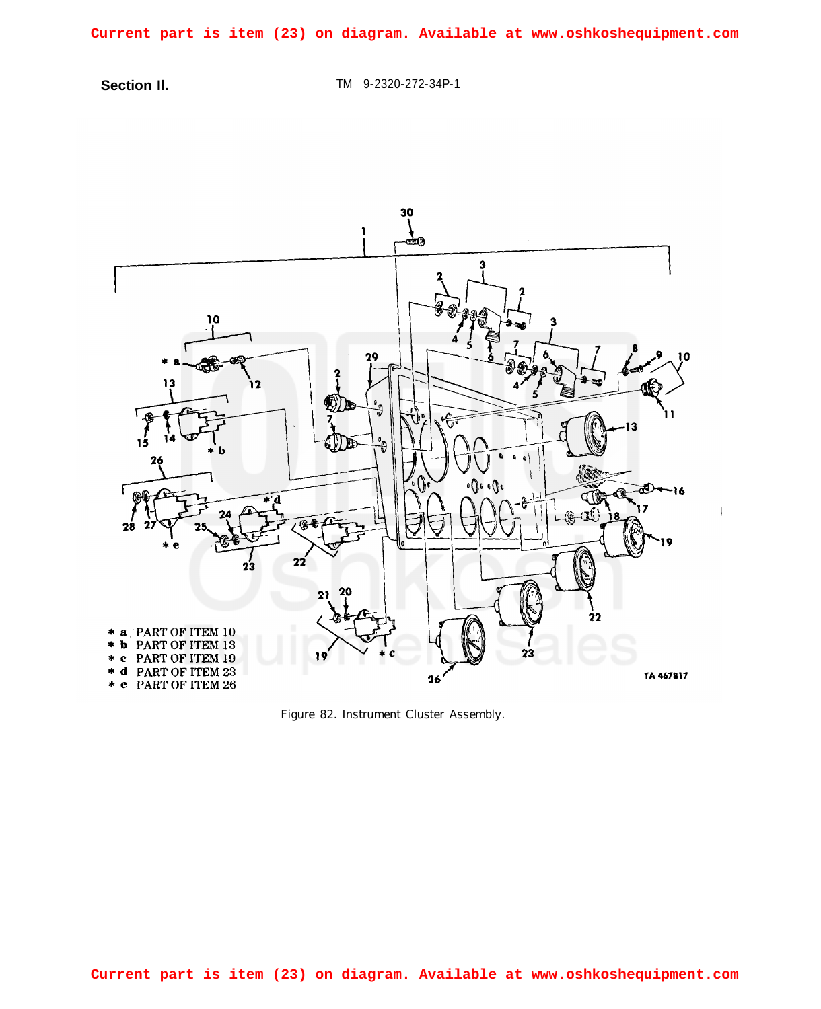**Current part is item (23) on diagram. Available at www.oshkoshequipment.com**

**Section Il.** TM 9-2320-272-34P-1



*Figure 82. Instrument Cluster Assembly.*

**Current part is item (23) on diagram. Available at www.oshkoshequipment.com**